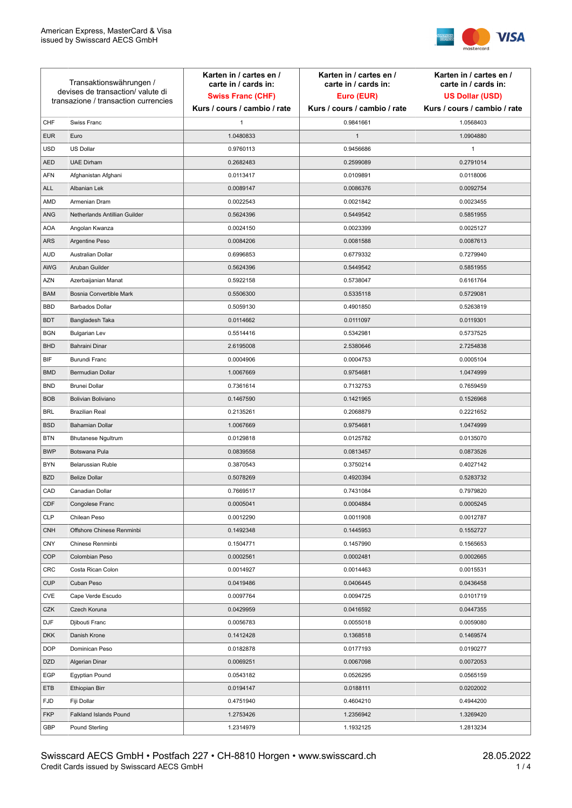

| Transaktionswährungen /<br>devises de transaction/valute di<br>transazione / transaction currencies |                               | Karten in / cartes en /<br>carte in / cards in:<br><b>Swiss Franc (CHF)</b> | Karten in / cartes en /<br>carte in / cards in:<br>Euro (EUR) | Karten in / cartes en /<br>carte in / cards in:<br><b>US Dollar (USD)</b> |
|-----------------------------------------------------------------------------------------------------|-------------------------------|-----------------------------------------------------------------------------|---------------------------------------------------------------|---------------------------------------------------------------------------|
|                                                                                                     |                               | Kurs / cours / cambio / rate                                                | Kurs / cours / cambio / rate                                  | Kurs / cours / cambio / rate                                              |
| CHF                                                                                                 | Swiss Franc                   | $\mathbf{1}$                                                                | 0.9841661                                                     | 1.0568403                                                                 |
| <b>EUR</b>                                                                                          | Euro                          | 1.0480833                                                                   | $\mathbf{1}$                                                  | 1.0904880                                                                 |
| <b>USD</b>                                                                                          | <b>US Dollar</b>              | 0.9760113                                                                   | 0.9456686                                                     | 1                                                                         |
| <b>AED</b>                                                                                          | <b>UAE Dirham</b>             | 0.2682483                                                                   | 0.2599089                                                     | 0.2791014                                                                 |
| <b>AFN</b>                                                                                          | Afghanistan Afghani           | 0.0113417                                                                   | 0.0109891                                                     | 0.0118006                                                                 |
| <b>ALL</b>                                                                                          | Albanian Lek                  | 0.0089147                                                                   | 0.0086376                                                     | 0.0092754                                                                 |
| AMD                                                                                                 | Armenian Dram                 | 0.0022543                                                                   | 0.0021842                                                     | 0.0023455                                                                 |
| ANG                                                                                                 | Netherlands Antillian Guilder | 0.5624396                                                                   | 0.5449542                                                     | 0.5851955                                                                 |
| <b>AOA</b>                                                                                          | Angolan Kwanza                | 0.0024150                                                                   | 0.0023399                                                     | 0.0025127                                                                 |
| ARS                                                                                                 | Argentine Peso                | 0.0084206                                                                   | 0.0081588                                                     | 0.0087613                                                                 |
| <b>AUD</b>                                                                                          | Australian Dollar             | 0.6996853                                                                   | 0.6779332                                                     | 0.7279940                                                                 |
| AWG                                                                                                 | Aruban Guilder                | 0.5624396                                                                   | 0.5449542                                                     | 0.5851955                                                                 |
| <b>AZN</b>                                                                                          | Azerbaijanian Manat           | 0.5922158                                                                   | 0.5738047                                                     | 0.6161764                                                                 |
| <b>BAM</b>                                                                                          | Bosnia Convertible Mark       | 0.5506300                                                                   | 0.5335118                                                     | 0.5729081                                                                 |
| <b>BBD</b>                                                                                          | <b>Barbados Dollar</b>        | 0.5059130                                                                   | 0.4901850                                                     | 0.5263819                                                                 |
| <b>BDT</b>                                                                                          | Bangladesh Taka               | 0.0114662                                                                   | 0.0111097                                                     | 0.0119301                                                                 |
| <b>BGN</b>                                                                                          | <b>Bulgarian Lev</b>          | 0.5514416                                                                   | 0.5342981                                                     | 0.5737525                                                                 |
| <b>BHD</b>                                                                                          | Bahraini Dinar                | 2.6195008                                                                   | 2.5380646                                                     | 2.7254838                                                                 |
| BIF                                                                                                 | Burundi Franc                 | 0.0004906                                                                   | 0.0004753                                                     | 0.0005104                                                                 |
| <b>BMD</b>                                                                                          | Bermudian Dollar              | 1.0067669                                                                   | 0.9754681                                                     | 1.0474999                                                                 |
| <b>BND</b>                                                                                          | <b>Brunei Dollar</b>          | 0.7361614                                                                   | 0.7132753                                                     | 0.7659459                                                                 |
| <b>BOB</b>                                                                                          | Bolivian Boliviano            | 0.1467590                                                                   | 0.1421965                                                     | 0.1526968                                                                 |
| <b>BRL</b>                                                                                          | <b>Brazilian Real</b>         | 0.2135261                                                                   | 0.2068879                                                     | 0.2221652                                                                 |
| <b>BSD</b>                                                                                          | <b>Bahamian Dollar</b>        | 1.0067669                                                                   | 0.9754681                                                     | 1.0474999                                                                 |
| <b>BTN</b>                                                                                          | <b>Bhutanese Ngultrum</b>     | 0.0129818                                                                   | 0.0125782                                                     | 0.0135070                                                                 |
| <b>BWP</b>                                                                                          | Botswana Pula                 | 0.0839558                                                                   | 0.0813457                                                     | 0.0873526                                                                 |
| <b>BYN</b>                                                                                          | Belarussian Ruble             | 0.3870543                                                                   | 0.3750214                                                     | 0.4027142                                                                 |
| <b>BZD</b>                                                                                          | <b>Belize Dollar</b>          | 0.5078269                                                                   | 0.4920394                                                     | 0.5283732                                                                 |
| CAD                                                                                                 | Canadian Dollar               | 0.7669517                                                                   | 0.7431084                                                     | 0.7979820                                                                 |
| CDF                                                                                                 | Congolese Franc               | 0.0005041                                                                   | 0.0004884                                                     | 0.0005245                                                                 |
| <b>CLP</b>                                                                                          | Chilean Peso                  | 0.0012290                                                                   | 0.0011908                                                     | 0.0012787                                                                 |
| <b>CNH</b>                                                                                          | Offshore Chinese Renminbi     | 0.1492348                                                                   | 0.1445953                                                     | 0.1552727                                                                 |
| <b>CNY</b>                                                                                          | Chinese Renminbi              | 0.1504771                                                                   | 0.1457990                                                     | 0.1565653                                                                 |
| <b>COP</b>                                                                                          | Colombian Peso                | 0.0002561                                                                   | 0.0002481                                                     | 0.0002665                                                                 |
| CRC                                                                                                 | Costa Rican Colon             | 0.0014927                                                                   | 0.0014463                                                     | 0.0015531                                                                 |
| <b>CUP</b>                                                                                          | Cuban Peso                    | 0.0419486                                                                   | 0.0406445                                                     | 0.0436458                                                                 |
| CVE                                                                                                 | Cape Verde Escudo             | 0.0097764                                                                   | 0.0094725                                                     | 0.0101719                                                                 |
| CZK                                                                                                 | Czech Koruna                  | 0.0429959                                                                   | 0.0416592                                                     | 0.0447355                                                                 |
| DJF                                                                                                 | Djibouti Franc                | 0.0056783                                                                   | 0.0055018                                                     | 0.0059080                                                                 |
| <b>DKK</b>                                                                                          | Danish Krone                  | 0.1412428                                                                   | 0.1368518                                                     | 0.1469574                                                                 |
| <b>DOP</b>                                                                                          | Dominican Peso                | 0.0182878                                                                   | 0.0177193                                                     | 0.0190277                                                                 |
| <b>DZD</b>                                                                                          | Algerian Dinar                | 0.0069251                                                                   | 0.0067098                                                     | 0.0072053                                                                 |
| EGP                                                                                                 | Egyptian Pound                | 0.0543182                                                                   | 0.0526295                                                     | 0.0565159                                                                 |
| ETB                                                                                                 | Ethiopian Birr                | 0.0194147                                                                   | 0.0188111                                                     | 0.0202002                                                                 |
| <b>FJD</b>                                                                                          | Fiji Dollar                   | 0.4751940                                                                   | 0.4604210                                                     | 0.4944200                                                                 |
| <b>FKP</b>                                                                                          | Falkland Islands Pound        | 1.2753426                                                                   | 1.2356942                                                     | 1.3269420                                                                 |
| GBP                                                                                                 | Pound Sterling                | 1.2314979                                                                   | 1.1932125                                                     | 1.2813234                                                                 |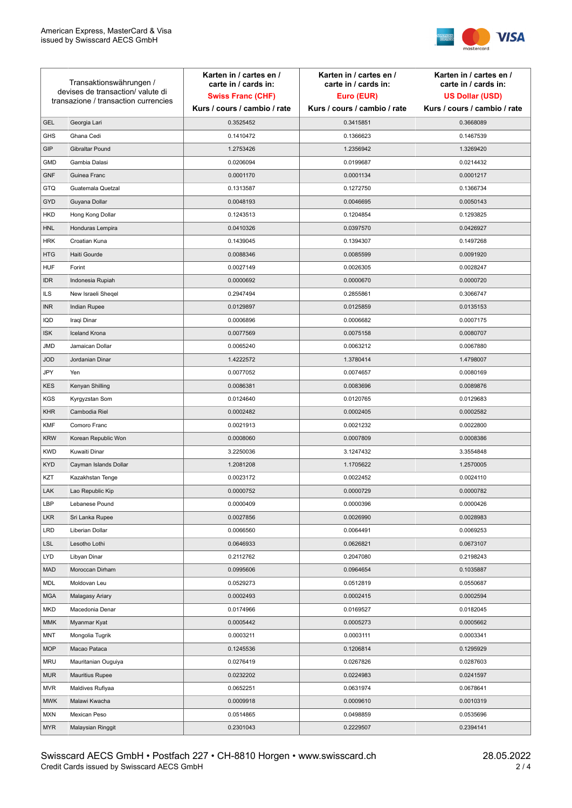

| Transaktionswährungen /<br>devises de transaction/valute di<br>transazione / transaction currencies |                        | Karten in / cartes en /<br>carte in / cards in: | Karten in / cartes en /<br>carte in / cards in: | Karten in / cartes en /<br>carte in / cards in: |
|-----------------------------------------------------------------------------------------------------|------------------------|-------------------------------------------------|-------------------------------------------------|-------------------------------------------------|
|                                                                                                     |                        | <b>Swiss Franc (CHF)</b>                        | Euro (EUR)                                      | <b>US Dollar (USD)</b>                          |
|                                                                                                     |                        | Kurs / cours / cambio / rate                    | Kurs / cours / cambio / rate                    | Kurs / cours / cambio / rate                    |
| <b>GEL</b>                                                                                          | Georgia Lari           | 0.3525452                                       | 0.3415851                                       | 0.3668089                                       |
| <b>GHS</b>                                                                                          | Ghana Cedi             | 0.1410472                                       | 0.1366623                                       | 0.1467539                                       |
| GIP                                                                                                 | Gibraltar Pound        | 1.2753426                                       | 1.2356942                                       | 1.3269420                                       |
| <b>GMD</b>                                                                                          | Gambia Dalasi          | 0.0206094                                       | 0.0199687                                       | 0.0214432                                       |
| <b>GNF</b>                                                                                          | Guinea Franc           | 0.0001170                                       | 0.0001134                                       | 0.0001217                                       |
| <b>GTQ</b>                                                                                          | Guatemala Quetzal      | 0.1313587                                       | 0.1272750                                       | 0.1366734                                       |
| GYD                                                                                                 | Guyana Dollar          | 0.0048193                                       | 0.0046695                                       | 0.0050143                                       |
| HKD                                                                                                 | Hong Kong Dollar       | 0.1243513                                       | 0.1204854                                       | 0.1293825                                       |
| <b>HNL</b>                                                                                          | Honduras Lempira       | 0.0410326                                       | 0.0397570                                       | 0.0426927                                       |
| <b>HRK</b>                                                                                          | Croatian Kuna          | 0.1439045                                       | 0.1394307                                       | 0.1497268                                       |
| <b>HTG</b>                                                                                          | Haiti Gourde           | 0.0088346                                       | 0.0085599                                       | 0.0091920                                       |
| <b>HUF</b>                                                                                          | Forint                 | 0.0027149                                       | 0.0026305                                       | 0.0028247                                       |
| <b>IDR</b>                                                                                          | Indonesia Rupiah       | 0.0000692                                       | 0.0000670                                       | 0.0000720                                       |
| <b>ILS</b>                                                                                          | New Israeli Sheqel     | 0.2947494                                       | 0.2855861                                       | 0.3066747                                       |
| <b>INR</b>                                                                                          | Indian Rupee           | 0.0129897                                       | 0.0125859                                       | 0.0135153                                       |
| IQD                                                                                                 | Iraqi Dinar            | 0.0006896                                       | 0.0006682                                       | 0.0007175                                       |
| <b>ISK</b>                                                                                          | <b>Iceland Krona</b>   | 0.0077569                                       | 0.0075158                                       | 0.0080707                                       |
| <b>JMD</b>                                                                                          | Jamaican Dollar        | 0.0065240                                       | 0.0063212                                       | 0.0067880                                       |
| <b>JOD</b>                                                                                          | Jordanian Dinar        | 1.4222572                                       | 1.3780414                                       | 1.4798007                                       |
| JPY                                                                                                 | Yen                    | 0.0077052                                       | 0.0074657                                       | 0.0080169                                       |
| <b>KES</b>                                                                                          | Kenyan Shilling        | 0.0086381                                       | 0.0083696                                       | 0.0089876                                       |
| <b>KGS</b>                                                                                          | Kyrgyzstan Som         | 0.0124640                                       | 0.0120765                                       | 0.0129683                                       |
| <b>KHR</b>                                                                                          | Cambodia Riel          | 0.0002482                                       | 0.0002405                                       | 0.0002582                                       |
| <b>KMF</b>                                                                                          | Comoro Franc           | 0.0021913                                       | 0.0021232                                       | 0.0022800                                       |
| <b>KRW</b>                                                                                          | Korean Republic Won    | 0.0008060                                       | 0.0007809                                       | 0.0008386                                       |
| <b>KWD</b>                                                                                          | Kuwaiti Dinar          | 3.2250036                                       | 3.1247432                                       | 3.3554848                                       |
| <b>KYD</b>                                                                                          | Cayman Islands Dollar  | 1.2081208                                       | 1.1705622                                       | 1.2570005                                       |
| KZT                                                                                                 | Kazakhstan Tenge       | 0.0023172                                       | 0.0022452                                       | 0.0024110                                       |
| LAK                                                                                                 | Lao Republic Kip       | 0.0000752                                       | 0.0000729                                       | 0.0000782                                       |
| LBP                                                                                                 | Lebanese Pound         | 0.0000409                                       | 0.0000396                                       | 0.0000426                                       |
| <b>LKR</b>                                                                                          | Sri Lanka Rupee        | 0.0027856                                       | 0.0026990                                       | 0.0028983                                       |
| <b>LRD</b>                                                                                          | Liberian Dollar        | 0.0066560                                       | 0.0064491                                       | 0.0069253                                       |
| <b>LSL</b>                                                                                          | Lesotho Lothi          | 0.0646933                                       | 0.0626821                                       | 0.0673107                                       |
| LYD                                                                                                 | Libyan Dinar           | 0.2112762                                       | 0.2047080                                       | 0.2198243                                       |
| <b>MAD</b>                                                                                          | Moroccan Dirham        | 0.0995606                                       | 0.0964654                                       | 0.1035887                                       |
| MDL                                                                                                 | Moldovan Leu           | 0.0529273                                       | 0.0512819                                       | 0.0550687                                       |
| <b>MGA</b>                                                                                          | Malagasy Ariary        | 0.0002493                                       | 0.0002415                                       | 0.0002594                                       |
| MKD                                                                                                 | Macedonia Denar        | 0.0174966                                       | 0.0169527                                       | 0.0182045                                       |
| <b>MMK</b>                                                                                          | Myanmar Kyat           | 0.0005442                                       | 0.0005273                                       | 0.0005662                                       |
| <b>MNT</b>                                                                                          | Mongolia Tugrik        | 0.0003211                                       | 0.0003111                                       | 0.0003341                                       |
| <b>MOP</b>                                                                                          | Macao Pataca           | 0.1245536                                       | 0.1206814                                       | 0.1295929                                       |
| <b>MRU</b>                                                                                          | Mauritanian Ouguiya    | 0.0276419                                       | 0.0267826                                       | 0.0287603                                       |
| <b>MUR</b>                                                                                          | <b>Mauritius Rupee</b> | 0.0232202                                       | 0.0224983                                       | 0.0241597                                       |
| <b>MVR</b>                                                                                          | Maldives Rufiyaa       | 0.0652251                                       | 0.0631974                                       | 0.0678641                                       |
| <b>MWK</b>                                                                                          | Malawi Kwacha          | 0.0009918                                       | 0.0009610                                       | 0.0010319                                       |
| <b>MXN</b>                                                                                          | Mexican Peso           | 0.0514865                                       | 0.0498859                                       | 0.0535696                                       |
| <b>MYR</b>                                                                                          | Malaysian Ringgit      | 0.2301043                                       | 0.2229507                                       | 0.2394141                                       |
|                                                                                                     |                        |                                                 |                                                 |                                                 |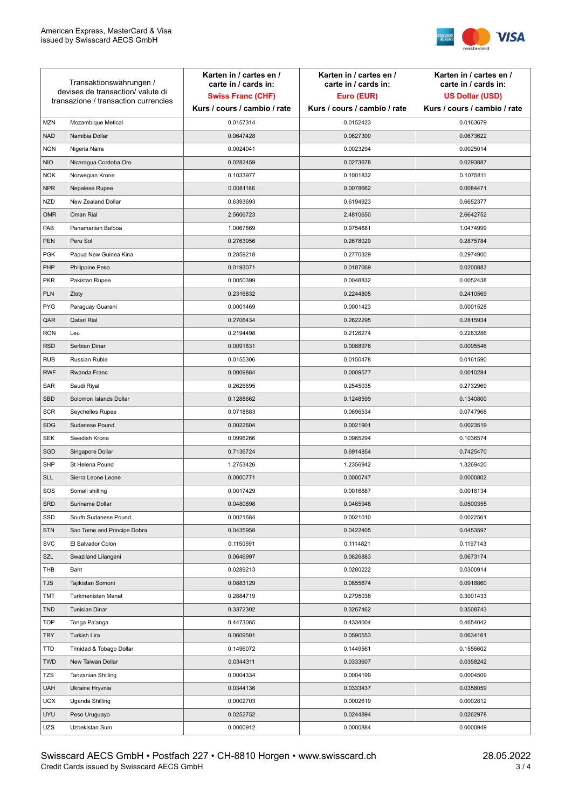

| Transaktionswährungen /<br>devises de transaction/valute di<br>transazione / transaction currencies |                             | Karten in / cartes en /<br>carte in / cards in:<br><b>Swiss Franc (CHF)</b> | Karten in / cartes en /<br>carte in / cards in:<br>Euro (EUR) | Karten in / cartes en /<br>carte in / cards in:<br><b>US Dollar (USD)</b> |
|-----------------------------------------------------------------------------------------------------|-----------------------------|-----------------------------------------------------------------------------|---------------------------------------------------------------|---------------------------------------------------------------------------|
|                                                                                                     |                             | Kurs / cours / cambio / rate                                                | Kurs / cours / cambio / rate                                  | Kurs / cours / cambio / rate                                              |
| <b>MZN</b>                                                                                          | Mozambique Metical          | 0.0157314                                                                   | 0.0152423                                                     | 0.0163679                                                                 |
| <b>NAD</b>                                                                                          | Namibia Dollar              | 0.0647428                                                                   | 0.0627300                                                     | 0.0673622                                                                 |
| <b>NGN</b>                                                                                          | Nigeria Naira               | 0.0024041                                                                   | 0.0023294                                                     | 0.0025014                                                                 |
| <b>NIO</b>                                                                                          | Nicaragua Cordoba Oro       | 0.0282459                                                                   | 0.0273678                                                     | 0.0293887                                                                 |
| <b>NOK</b>                                                                                          | Norwegian Krone             | 0.1033977                                                                   | 0.1001832                                                     | 0.1075811                                                                 |
| <b>NPR</b>                                                                                          | Nepalese Rupee              | 0.0081186                                                                   | 0.0078662                                                     | 0.0084471                                                                 |
| <b>NZD</b>                                                                                          | New Zealand Dollar          | 0.6393693                                                                   | 0.6194923                                                     | 0.6652377                                                                 |
| <b>OMR</b>                                                                                          | Oman Rial                   | 2.5606723                                                                   | 2.4810650                                                     | 2.6642752                                                                 |
| PAB                                                                                                 | Panamanian Balboa           | 1.0067669                                                                   | 0.9754681                                                     | 1.0474999                                                                 |
| <b>PEN</b>                                                                                          | Peru Sol                    | 0.2763956                                                                   | 0.2678029                                                     | 0.2875784                                                                 |
| <b>PGK</b>                                                                                          | Papua New Guinea Kina       | 0.2859218                                                                   | 0.2770329                                                     | 0.2974900                                                                 |
| PHP                                                                                                 | Philippine Peso             | 0.0193071                                                                   | 0.0187069                                                     | 0.0200883                                                                 |
| <b>PKR</b>                                                                                          | Pakistan Rupee              | 0.0050399                                                                   | 0.0048832                                                     | 0.0052438                                                                 |
| <b>PLN</b>                                                                                          | Zloty                       | 0.2316832                                                                   | 0.2244805                                                     | 0.2410569                                                                 |
| <b>PYG</b>                                                                                          | Paraguay Guarani            | 0.0001469                                                                   | 0.0001423                                                     | 0.0001528                                                                 |
| QAR                                                                                                 | Qatari Rial                 | 0.2706434                                                                   | 0.2622295                                                     | 0.2815934                                                                 |
| <b>RON</b>                                                                                          | Leu                         | 0.2194498                                                                   | 0.2126274                                                     | 0.2283286                                                                 |
| <b>RSD</b>                                                                                          | Serbian Dinar               | 0.0091831                                                                   | 0.0088976                                                     | 0.0095546                                                                 |
| <b>RUB</b>                                                                                          | Russian Ruble               | 0.0155306                                                                   | 0.0150478                                                     | 0.0161590                                                                 |
| <b>RWF</b>                                                                                          | Rwanda Franc                | 0.0009884                                                                   | 0.0009577                                                     | 0.0010284                                                                 |
| SAR                                                                                                 | Saudi Riyal                 | 0.2626695                                                                   | 0.2545035                                                     | 0.2732969                                                                 |
| <b>SBD</b>                                                                                          | Solomon Islands Dollar      | 0.1288662                                                                   | 0.1248599                                                     | 0.1340800                                                                 |
| <b>SCR</b>                                                                                          | Seychelles Rupee            | 0.0718883                                                                   | 0.0696534                                                     | 0.0747968                                                                 |
| <b>SDG</b>                                                                                          | Sudanese Pound              | 0.0022604                                                                   | 0.0021901                                                     | 0.0023519                                                                 |
| SEK                                                                                                 | Swedish Krona               | 0.0996266                                                                   | 0.0965294                                                     | 0.1036574                                                                 |
| SGD                                                                                                 | Singapore Dollar            | 0.7136724                                                                   | 0.6914854                                                     | 0.7425470                                                                 |
| <b>SHP</b>                                                                                          | St Helena Pound             | 1.2753426                                                                   | 1.2356942                                                     | 1.3269420                                                                 |
| <b>SLL</b>                                                                                          | Sierra Leone Leone          | 0.0000771                                                                   | 0.0000747                                                     | 0.0000802                                                                 |
| SOS                                                                                                 | Somali shilling             | 0.0017429                                                                   | 0.0016887                                                     | 0.0018134                                                                 |
| <b>SRD</b>                                                                                          | Suriname Dollar             | 0.0480898                                                                   | 0.0465948                                                     | 0.0500355                                                                 |
| SSD                                                                                                 | South Sudanese Pound        | 0.0021684                                                                   | 0.0021010                                                     | 0.0022561                                                                 |
| <b>STN</b>                                                                                          | Sao Tome and Principe Dobra | 0.0435958                                                                   | 0.0422405                                                     | 0.0453597                                                                 |
| <b>SVC</b>                                                                                          | El Salvador Colon           | 0.1150591                                                                   | 0.1114821                                                     | 0.1197143                                                                 |
| <b>SZL</b>                                                                                          | Swaziland Lilangeni         | 0.0646997                                                                   | 0.0626883                                                     | 0.0673174                                                                 |
| THB                                                                                                 | Baht                        | 0.0289213                                                                   | 0.0280222                                                     | 0.0300914                                                                 |
| <b>TJS</b>                                                                                          | Tajikistan Somoni           | 0.0883129                                                                   | 0.0855674                                                     | 0.0918860                                                                 |
| TMT                                                                                                 | Turkmenistan Manat          | 0.2884719                                                                   | 0.2795038                                                     | 0.3001433                                                                 |
| <b>TND</b>                                                                                          | <b>Tunisian Dinar</b>       | 0.3372302                                                                   | 0.3267462                                                     | 0.3508743                                                                 |
| <b>TOP</b>                                                                                          | Tonga Pa'anga               | 0.4473065                                                                   | 0.4334004                                                     | 0.4654042                                                                 |
| <b>TRY</b>                                                                                          | Turkish Lira                | 0.0609501                                                                   | 0.0590553                                                     | 0.0634161                                                                 |
| <b>TTD</b>                                                                                          | Trinidad & Tobago Dollar    | 0.1496072                                                                   | 0.1449561                                                     | 0.1556602                                                                 |
| <b>TWD</b>                                                                                          | New Taiwan Dollar           | 0.0344311                                                                   | 0.0333607                                                     | 0.0358242                                                                 |
| TZS                                                                                                 | Tanzanian Shilling          | 0.0004334                                                                   | 0.0004199                                                     | 0.0004509                                                                 |
| <b>UAH</b>                                                                                          | Ukraine Hryvnia             | 0.0344136                                                                   | 0.0333437                                                     | 0.0358059                                                                 |
| <b>UGX</b>                                                                                          | Uganda Shilling             | 0.0002703                                                                   | 0.0002619                                                     | 0.0002812                                                                 |
| <b>UYU</b>                                                                                          | Peso Uruguayo               | 0.0252752                                                                   | 0.0244894                                                     | 0.0262978                                                                 |
| UZS                                                                                                 | Uzbekistan Sum              | 0.0000912                                                                   | 0.0000884                                                     | 0.0000949                                                                 |